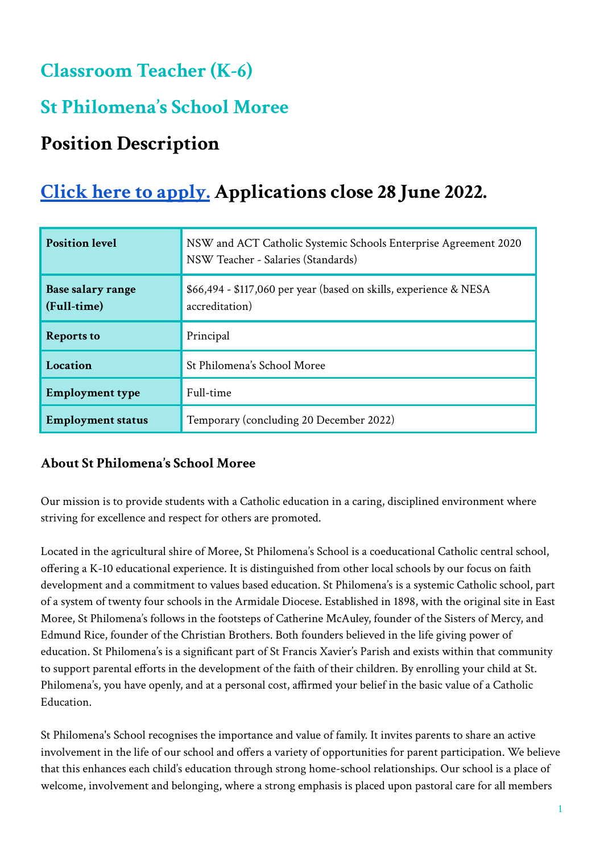## **Classroom Teacher (K-6)**

# **St Philomena ' s School Moree**

# **Position Description**

# **Click here to [apply.](https://www.surveymonkey.com/r/2JT7K6W) Applications close 28 June 2022.**

| <b>Position level</b>            | NSW and ACT Catholic Systemic Schools Enterprise Agreement 2020<br>NSW Teacher - Salaries (Standards) |
|----------------------------------|-------------------------------------------------------------------------------------------------------|
| Base salary range<br>(Full-time) | \$66,494 - \$117,060 per year (based on skills, experience & NESA<br>accreditation)                   |
| <b>Reports to</b>                | Principal                                                                                             |
| Location                         | St Philomena's School Moree                                                                           |
| <b>Employment type</b>           | Full-time                                                                                             |
| <b>Employment status</b>         | Temporary (concluding 20 December 2022)                                                               |

### **About St Philomena's School Moree**

Our mission is to provide students with a Catholic education in a caring, disciplined environment where striving for excellence and respect for others are promoted.

Located in the agricultural shire of Moree, St Philomena's School is a coeducational Catholic central school, offering a K-10 educational experience. It is distinguished from other local schools by our focus on faith development and a commitment to values based education. St Philomena's is a systemic Catholic school, part of a system of twenty four schools in the Armidale Diocese. Established in 1898, with the original site in East Moree, St Philomena's follows in the footsteps of Catherine McAuley, founder of the Sisters of Mercy, and Edmund Rice, founder of the Christian Brothers. Both founders believed in the life giving power of education. St Philomena's is a significant part of St Francis Xavier's Parish and exists within that community to support parental efforts in the development of the faith of their children. By enrolling your child at St. Philomena's, you have openly, and at a personal cost, affirmed your belief in the basic value of a Catholic Education.

St Philomena's School recognises the importance and value of family. It invites parents to share an active involvement in the life of our school and offers a variety of opportunities for parent participation. We believe that this enhances each child's education through strong home-school relationships. Our school is a place of welcome, involvement and belonging, where a strong emphasis is placed upon pastoral care for all members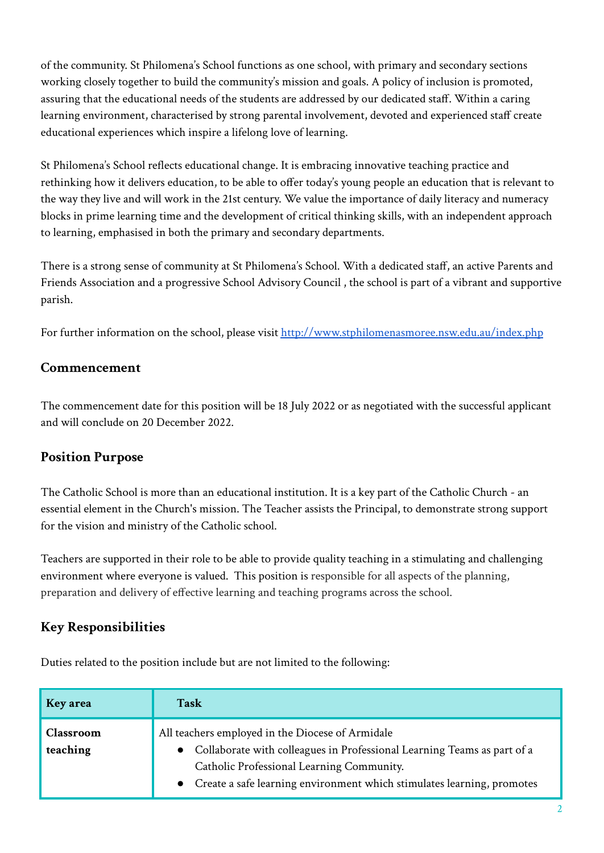of the community. St Philomena's School functions as one school, with primary and secondary sections working closely together to build the community's mission and goals. A policy of inclusion is promoted, assuring that the educational needs of the students are addressed by our dedicated staff. Within a caring learning environment, characterised by strong parental involvement, devoted and experienced staff create educational experiences which inspire a lifelong love of learning.

St Philomena's School reflects educational change. It is embracing innovative teaching practice and rethinking how it delivers education, to be able to offer today's young people an education that is relevant to the way they live and will work in the 21st century. We value the importance of daily literacy and numeracy blocks in prime learning time and the development of critical thinking skills, with an independent approach to learning, emphasised in both the primary and secondary departments.

There is a strong sense of community at St Philomena's School. With a dedicated staff, an active Parents and Friends Association and a progressive School Advisory Council , the school is part of a vibrant and supportive parish.

For further information on the school, please visit <http://www.stphilomenasmoree.nsw.edu.au/index.php>

#### **Commencement**

The commencement date for this position will be 18 July 2022 or as negotiated with the successful applicant and will conclude on 20 December 2022.

### **Position Purpose**

The Catholic School is more than an educational institution. It is a key part of the Catholic Church - an essential element in the Church's mission. The Teacher assists the Principal, to demonstrate strong support for the vision and ministry of the Catholic school.

Teachers are supported in their role to be able to provide quality teaching in a stimulating and challenging environment where everyone is valued. This position is responsible for all aspects of the planning, preparation and delivery of effective learning and teaching programs across the school.

### **Key Responsibilities**

| <b>Key area</b>       | Task                                                                                                                                                                                                                                               |
|-----------------------|----------------------------------------------------------------------------------------------------------------------------------------------------------------------------------------------------------------------------------------------------|
| Classroom<br>teaching | All teachers employed in the Diocese of Armidale<br>Collaborate with colleagues in Professional Learning Teams as part of a<br>Catholic Professional Learning Community.<br>Create a safe learning environment which stimulates learning, promotes |

Duties related to the position include but are not limited to the following: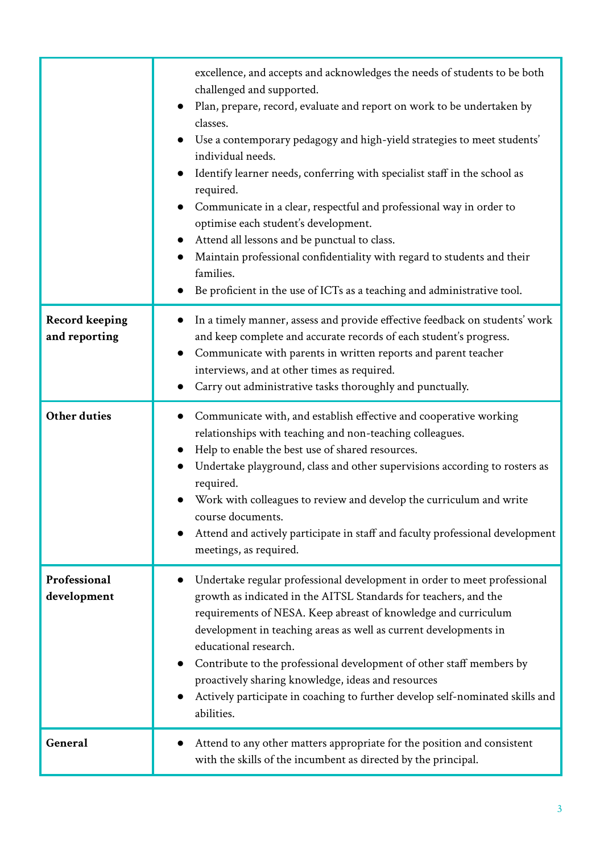|                                        | excellence, and accepts and acknowledges the needs of students to be both<br>challenged and supported.<br>Plan, prepare, record, evaluate and report on work to be undertaken by<br>classes.<br>Use a contemporary pedagogy and high-yield strategies to meet students'<br>individual needs.<br>Identify learner needs, conferring with specialist staff in the school as<br>required.<br>Communicate in a clear, respectful and professional way in order to<br>optimise each student's development.<br>Attend all lessons and be punctual to class. |
|----------------------------------------|-------------------------------------------------------------------------------------------------------------------------------------------------------------------------------------------------------------------------------------------------------------------------------------------------------------------------------------------------------------------------------------------------------------------------------------------------------------------------------------------------------------------------------------------------------|
|                                        | Maintain professional confidentiality with regard to students and their<br>families.<br>Be proficient in the use of ICTs as a teaching and administrative tool.                                                                                                                                                                                                                                                                                                                                                                                       |
| <b>Record keeping</b><br>and reporting | In a timely manner, assess and provide effective feedback on students' work<br>and keep complete and accurate records of each student's progress.<br>Communicate with parents in written reports and parent teacher<br>interviews, and at other times as required.<br>Carry out administrative tasks thoroughly and punctually.                                                                                                                                                                                                                       |
| <b>Other duties</b>                    | Communicate with, and establish effective and cooperative working<br>relationships with teaching and non-teaching colleagues.<br>Help to enable the best use of shared resources.<br>Undertake playground, class and other supervisions according to rosters as<br>required.<br>Work with colleagues to review and develop the curriculum and write<br>course documents.<br>Attend and actively participate in staff and faculty professional development<br>meetings, as required.                                                                   |
| Professional<br>development            | Undertake regular professional development in order to meet professional<br>growth as indicated in the AITSL Standards for teachers, and the<br>requirements of NESA. Keep abreast of knowledge and curriculum<br>development in teaching areas as well as current developments in<br>educational research.<br>Contribute to the professional development of other staff members by<br>proactively sharing knowledge, ideas and resources<br>Actively participate in coaching to further develop self-nominated skills and<br>abilities.              |
| General                                | Attend to any other matters appropriate for the position and consistent<br>with the skills of the incumbent as directed by the principal.                                                                                                                                                                                                                                                                                                                                                                                                             |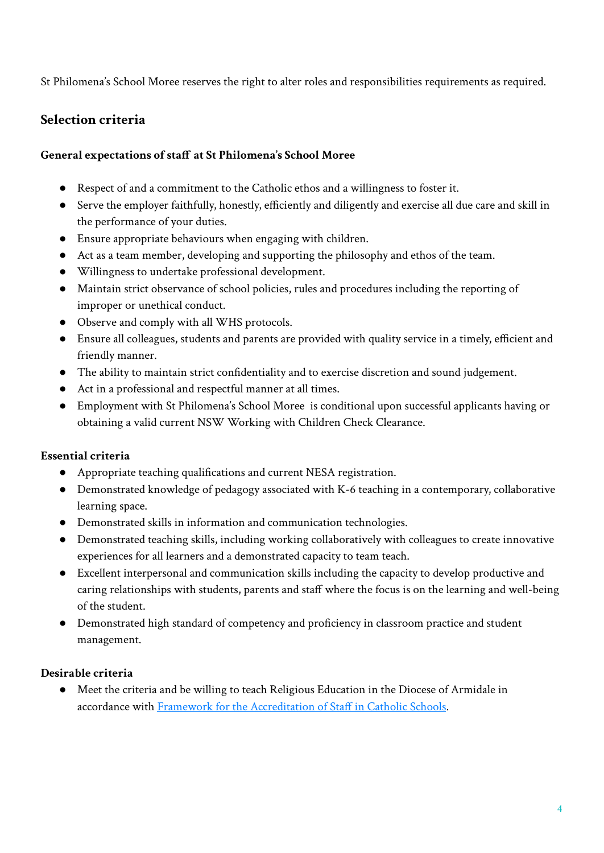St Philomena's School Moree reserves the right to alter roles and responsibilities requirements as required.

#### **Selection criteria**

#### **General expectations of staff at St Philomena's School Moree**

- Respect of and a commitment to the Catholic ethos and a willingness to foster it.
- Serve the employer faithfully, honestly, efficiently and diligently and exercise all due care and skill in the performance of your duties.
- Ensure appropriate behaviours when engaging with children.
- Act as a team member, developing and supporting the philosophy and ethos of the team.
- Willingness to undertake professional development.
- Maintain strict observance of school policies, rules and procedures including the reporting of improper or unethical conduct.
- Observe and comply with all WHS protocols.
- Ensure all colleagues, students and parents are provided with quality service in a timely, efficient and friendly manner.
- The ability to maintain strict confidentiality and to exercise discretion and sound judgement.
- Act in a professional and respectful manner at all times.
- Employment with St Philomena's School Moree is conditional upon successful applicants having or obtaining a valid current NSW Working with Children Check Clearance.

#### **Essential criteria**

- Appropriate teaching qualifications and current NESA registration.
- Demonstrated knowledge of pedagogy associated with K-6 teaching in a contemporary, collaborative learning space.
- Demonstrated skills in information and communication technologies.
- Demonstrated teaching skills, including working collaboratively with colleagues to create innovative experiences for all learners and a demonstrated capacity to team teach.
- Excellent interpersonal and communication skills including the capacity to develop productive and caring relationships with students, parents and staff where the focus is on the learning and well-being of the student.
- Demonstrated high standard of competency and proficiency in classroom practice and student management.

#### **Desirable criteria**

● Meet the criteria and be willing to teach Religious Education in the Diocese of Armidale in accordance with [Framework for the Accreditation of](https://arm.catholic.edu.au/wp-content/uploads/2018/10/Framework-for-the-Accreditation-of-Staff-in-Catholic-Schools.pdf) Staff in Catholic Schools.